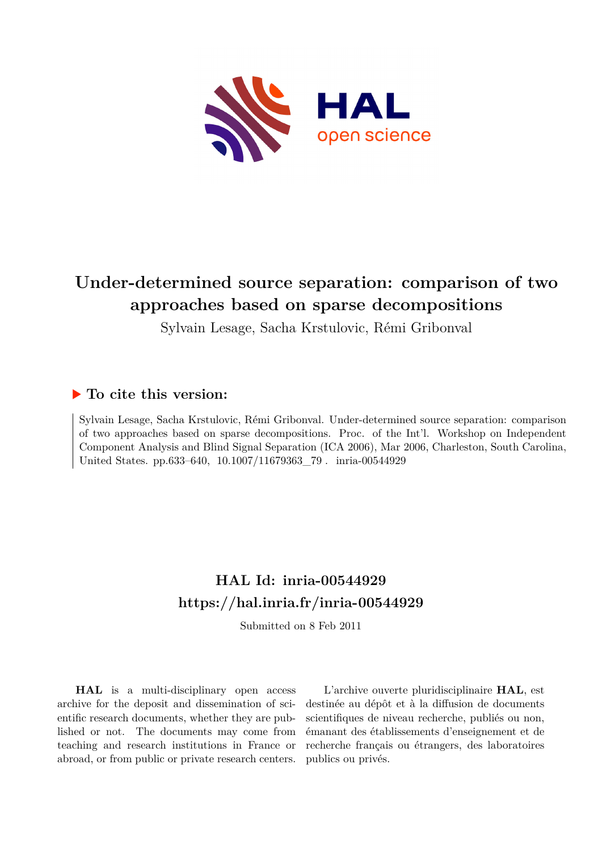

# **Under-determined source separation: comparison of two approaches based on sparse decompositions**

Sylvain Lesage, Sacha Krstulovic, Rémi Gribonval

# **To cite this version:**

Sylvain Lesage, Sacha Krstulovic, Rémi Gribonval. Under-determined source separation: comparison of two approaches based on sparse decompositions. Proc. of the Int'l. Workshop on Independent Component Analysis and Blind Signal Separation (ICA 2006), Mar 2006, Charleston, South Carolina, United States. pp.633-640, 10.1007/11679363 79. inria-00544929

# **HAL Id: inria-00544929 <https://hal.inria.fr/inria-00544929>**

Submitted on 8 Feb 2011

**HAL** is a multi-disciplinary open access archive for the deposit and dissemination of scientific research documents, whether they are published or not. The documents may come from teaching and research institutions in France or abroad, or from public or private research centers.

L'archive ouverte pluridisciplinaire **HAL**, est destinée au dépôt et à la diffusion de documents scientifiques de niveau recherche, publiés ou non, émanant des établissements d'enseignement et de recherche français ou étrangers, des laboratoires publics ou privés.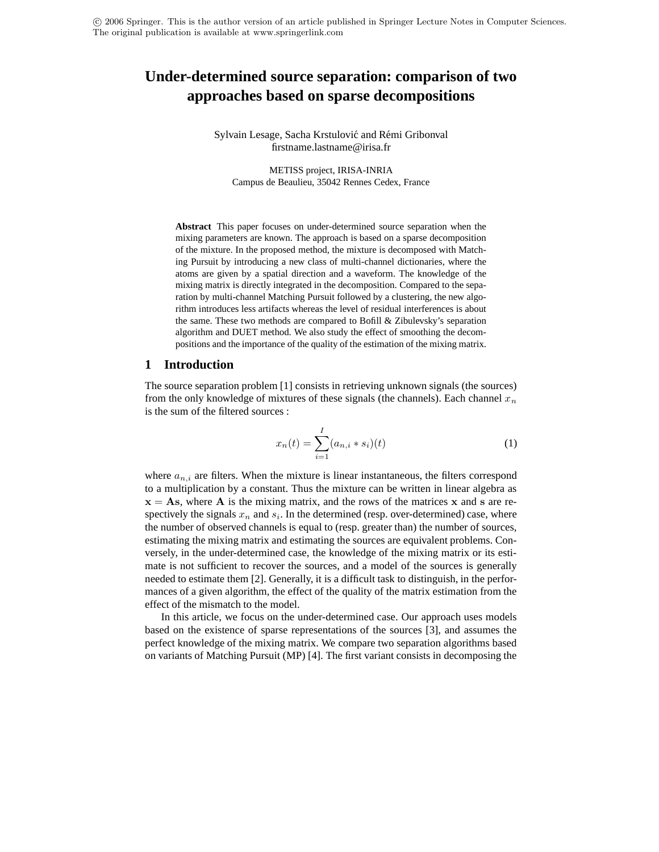c 2006 Springer. This is the author version of an article published in Springer Lecture Notes in Computer Sciences. The original publication is available at www.springerlink.com

# **Under-determined source separation: comparison of two approaches based on sparse decompositions**

Sylvain Lesage, Sacha Krstulović and Rémi Gribonval firstname.lastname@irisa.fr

METISS project, IRISA-INRIA Campus de Beaulieu, 35042 Rennes Cedex, France

**Abstract** This paper focuses on under-determined source separation when the mixing parameters are known. The approach is based on a sparse decomposition of the mixture. In the proposed method, the mixture is decomposed with Matching Pursuit by introducing a new class of multi-channel dictionaries, where the atoms are given by a spatial direction and a waveform. The knowledge of the mixing matrix is directly integrated in the decomposition. Compared to the separation by multi-channel Matching Pursuit followed by a clustering, the new algorithm introduces less artifacts whereas the level of residual interferences is about the same. These two methods are compared to Bofill & Zibulevsky's separation algorithm and DUET method. We also study the effect of smoothing the decompositions and the importance of the quality of the estimation of the mixing matrix.

# **1 Introduction**

The source separation problem [1] consists in retrieving unknown signals (the sources) from the only knowledge of mixtures of these signals (the channels). Each channel  $x_n$ is the sum of the filtered sources :

$$
x_n(t) = \sum_{i=1}^{I} (a_{n,i} * s_i)(t)
$$
 (1)

where  $a_{n,i}$  are filters. When the mixture is linear instantaneous, the filters correspond to a multiplication by a constant. Thus the mixture can be written in linear algebra as  $x = As$ , where A is the mixing matrix, and the rows of the matrices x and s are respectively the signals  $x_n$  and  $s_i$ . In the determined (resp. over-determined) case, where the number of observed channels is equal to (resp. greater than) the number of sources, estimating the mixing matrix and estimating the sources are equivalent problems. Conversely, in the under-determined case, the knowledge of the mixing matrix or its estimate is not sufficient to recover the sources, and a model of the sources is generally needed to estimate them [2]. Generally, it is a difficult task to distinguish, in the performances of a given algorithm, the effect of the quality of the matrix estimation from the effect of the mismatch to the model.

In this article, we focus on the under-determined case. Our approach uses models based on the existence of sparse representations of the sources [3], and assumes the perfect knowledge of the mixing matrix. We compare two separation algorithms based on variants of Matching Pursuit (MP) [4]. The first variant consists in decomposing the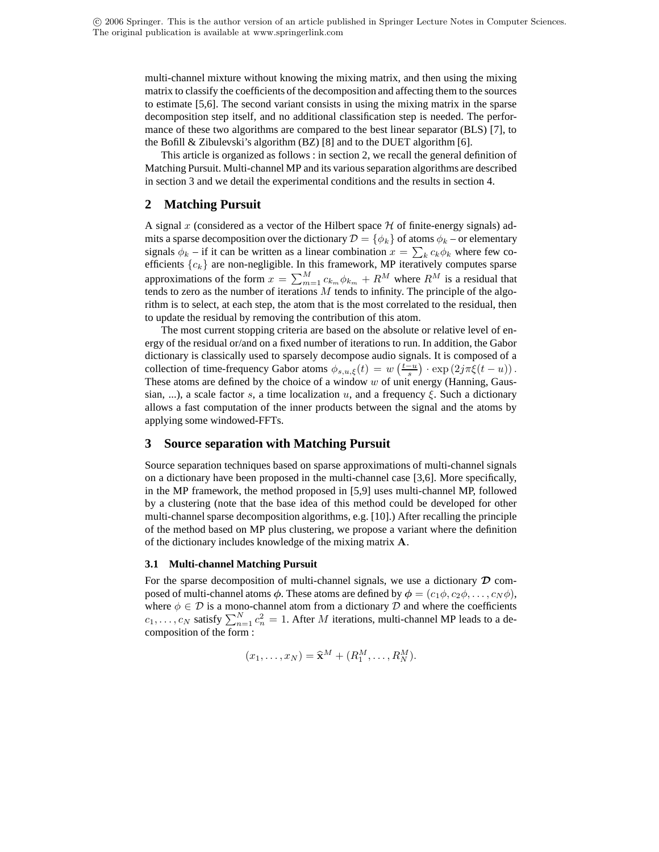multi-channel mixture without knowing the mixing matrix, and then using the mixing matrix to classify the coefficients of the decomposition and affecting them to the sources to estimate [5,6]. The second variant consists in using the mixing matrix in the sparse decomposition step itself, and no additional classification step is needed. The performance of these two algorithms are compared to the best linear separator (BLS) [7], to the Bofill & Zibulevski's algorithm (BZ) [8] and to the DUET algorithm [6].

This article is organized as follows : in section 2, we recall the general definition of Matching Pursuit. Multi-channel MP and its variousseparation algorithms are described in section 3 and we detail the experimental conditions and the results in section 4.

# **2 Matching Pursuit**

A signal x (considered as a vector of the Hilbert space  $H$  of finite-energy signals) admits a sparse decomposition over the dictionary  $\mathcal{D} = \{\phi_k\}$  of atoms  $\phi_k$  – or elementary signals  $\phi_k$  – if it can be written as a linear combination  $x = \sum_k c_k \phi_k$  where few coefficients  ${c_k}$  are non-negligible. In this framework, MP iteratively computes sparse approximations of the form  $x = \sum_{m=1}^{M} c_{k_m} \phi_{k_m} + R^M$  where  $R^M$  is a residual that tends to zero as the number of iterations  $M$  tends to infinity. The principle of the algorithm is to select, at each step, the atom that is the most correlated to the residual, then to update the residual by removing the contribution of this atom.

The most current stopping criteria are based on the absolute or relative level of energy of the residual or/and on a fixed number of iterations to run. In addition, the Gabor dictionary is classically used to sparsely decompose audio signals. It is composed of a collection of time-frequency Gabor atoms  $\phi_{s,u,\xi}(t) = w\left(\frac{t-u}{s}\right) \cdot \exp\left(2j\pi \xi(t-u)\right)$ . These atoms are defined by the choice of a window  $w$  of unit energy (Hanning, Gaussian, ...), a scale factor s, a time localization u, and a frequency  $\xi$ . Such a dictionary allows a fast computation of the inner products between the signal and the atoms by applying some windowed-FFTs.

# **3 Source separation with Matching Pursuit**

Source separation techniques based on sparse approximations of multi-channel signals on a dictionary have been proposed in the multi-channel case [3,6]. More specifically, in the MP framework, the method proposed in [5,9] uses multi-channel MP, followed by a clustering (note that the base idea of this method could be developed for other multi-channel sparse decomposition algorithms, e.g. [10].) After recalling the principle of the method based on MP plus clustering, we propose a variant where the definition of the dictionary includes knowledge of the mixing matrix A.

### **3.1 Multi-channel Matching Pursuit**

For the sparse decomposition of multi-channel signals, we use a dictionary  $\mathcal D$  composed of multi-channel atoms  $\phi$ . These atoms are defined by  $\phi = (c_1\phi, c_2\phi, \dots, c_N\phi)$ , where  $\phi \in \mathcal{D}$  is a mono-channel atom from a dictionary  $\mathcal{D}$  and where the coefficients  $c_1, \ldots, c_N$  satisfy  $\sum_{n=1}^{N} c_n^2 = 1$ . After M iterations, multi-channel MP leads to a decomposition of the form :

$$
(x_1,\ldots,x_N)=\widehat{\mathbf{x}}^M+(R_1^M,\ldots,R_N^M).
$$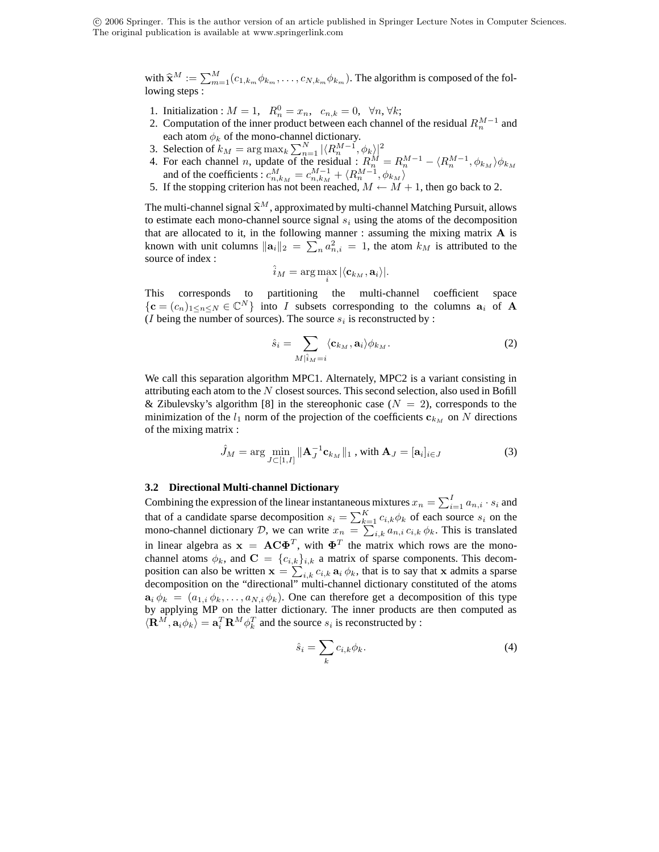c 2006 Springer. This is the author version of an article published in Springer Lecture Notes in Computer Sciences. The original publication is available at www.springerlink.com

> with  $\widehat{\mathbf{x}}^M := \sum_{m=1}^M (c_{1,k_m} \phi_{k_m}, \dots, c_{N,k_m} \phi_{k_m})$ . The algorithm is composed of the following steps :

- 1. Initialization :  $M = 1$ ,  $R_n^0 = x_n$ ,  $c_{n,k} = 0$ ,  $\forall n, \forall k$ ;
- 2. Computation of the inner product between each channel of the residual  $R_n^{M-1}$  and each atom  $\phi_k$  of the mono-channel dictionary.
- 3. Selection of  $k_M = \argmax_k \sum_{n=1}^N |\langle R_n^{M-1}, \phi_k \rangle|^2$
- 4. For each channel *n*, update of the residual :  $R_n^M = R_n^{M-1} \langle R_n^{M-1}, \phi_{k_M} \rangle \phi_{k_M}$ and of the coefficients :  $c_{n,k_M}^M = c_{n,k_M}^{M-1} + \langle R_n^{M-1}, \phi_{k_M} \rangle$
- 5. If the stopping criterion has not been reached,  $M \leftarrow M + 1$ , then go back to 2.

The multi-channel signal  $\hat{\mathbf{x}}^M$ , approximated by multi-channel Matching Pursuit, allows to estimate each mono-channel source signal  $s_i$  using the atoms of the decomposition that are allocated to it, in the following manner : assuming the mixing matrix  $A$  is known with unit columns  $\|\mathbf{a}_i\|_2 = \sum_n a_{n,i}^2 = 1$ , the atom  $k_M$  is attributed to the source of index :

$$
\hat{i}_M = \arg\max_i |\langle \mathbf{c}_{k_M}, \mathbf{a}_i \rangle|.
$$

This corresponds to partitioning the multi-channel coefficient space  ${c = (c_n)_{1 \le n \le N} \in \mathbb{C}^N}$  into I subsets corresponding to the columns  $a_i$  of A (*I* being the number of sources). The source  $s_i$  is reconstructed by :

$$
\hat{s}_i = \sum_{M|\hat{i}_M = i} \langle \mathbf{c}_{k_M}, \mathbf{a}_i \rangle \phi_{k_M}.
$$
 (2)

We call this separation algorithm MPC1. Alternately, MPC2 is a variant consisting in attributing each atom to the  $N$  closest sources. This second selection, also used in Bofill & Zibulevsky's algorithm [8] in the stereophonic case  $(N = 2)$ , corresponds to the minimization of the  $l_1$  norm of the projection of the coefficients  $c_{k_M}$  on N directions of the mixing matrix :

$$
\hat{J}_M = \arg \min_{J \subset [1, I]} \|\mathbf{A}_J^{-1} \mathbf{c}_{k_M}\|_1 \text{ , with } \mathbf{A}_J = [\mathbf{a}_i]_{i \in J} \tag{3}
$$

#### **3.2 Directional Multi-channel Dictionary**

Combining the expression of the linear instantaneous mixtures  $x_n = \sum_{i=1}^{I} a_{n,i} \cdot s_i$  and that of a candidate sparse decomposition  $s_i = \sum_{k=1}^{K} c_{i,k} \phi_k$  of each source  $s_i$  on the mono-channel dictionary D, we can write  $x_n = \sum_{i,k} a_{n,i} c_{i,k} \phi_k$ . This is translated in linear algebra as  $x = AC\Phi^T$ , with  $\Phi^T$  the matrix which rows are the monochannel atoms  $\phi_k$ , and  $\mathbf{C} = \{c_{i,k}\}_{i,k}$  a matrix of sparse components. This decomposition can also be written  $\mathbf{x} = \sum_{i,k} c_{i,k} \mathbf{a}_i \phi_k$ , that is to say that x admits a sparse decomposition on the "directional" multi-channel dictionary constituted of the atoms  $\mathbf{a}_i \phi_k = (a_{1,i} \phi_k, \dots, a_{N,i} \phi_k)$ . One can therefore get a decomposition of this type by applying MP on the latter dictionary. The inner products are then computed as  $\langle \mathbf{R}^M, \mathbf{a}_i \phi_k \rangle = \mathbf{a}_i^T \mathbf{R}^M \phi_k^T$  and the source  $s_i$  is reconstructed by :

$$
\hat{s}_i = \sum_k c_{i,k} \phi_k. \tag{4}
$$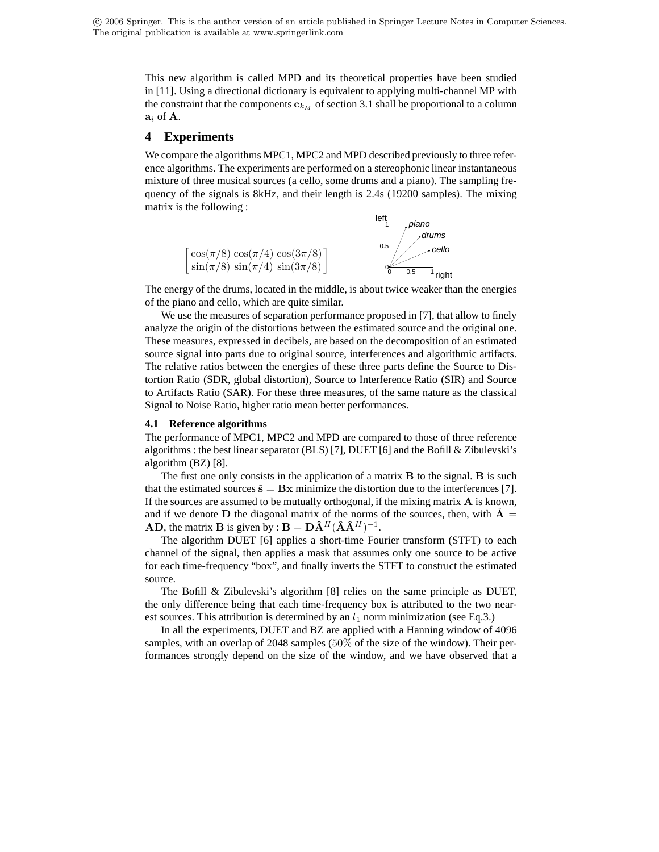This new algorithm is called MPD and its theoretical properties have been studied in [11]. Using a directional dictionary is equivalent to applying multi-channel MP with the constraint that the components  $c_{k_M}$  of section 3.1 shall be proportional to a column  $a_i$  of  $A$ .

### **4 Experiments**

We compare the algorithms MPC1, MPC2 and MPD described previously to three reference algorithms. The experiments are performed on a stereophonic linear instantaneous mixture of three musical sources (a cello, some drums and a piano). The sampling frequency of the signals is 8kHz, and their length is 2.4s (19200 samples). The mixing matrix is the following :



The energy of the drums, located in the middle, is about twice weaker than the energies of the piano and cello, which are quite similar.

We use the measures of separation performance proposed in [7], that allow to finely analyze the origin of the distortions between the estimated source and the original one. These measures, expressed in decibels, are based on the decomposition of an estimated source signal into parts due to original source, interferences and algorithmic artifacts. The relative ratios between the energies of these three parts define the Source to Distortion Ratio (SDR, global distortion), Source to Interference Ratio (SIR) and Source to Artifacts Ratio (SAR). For these three measures, of the same nature as the classical Signal to Noise Ratio, higher ratio mean better performances.

#### **4.1 Reference algorithms**

The performance of MPC1, MPC2 and MPD are compared to those of three reference algorithms : the best linear separator (BLS) [7], DUET [6] and the Bofill & Zibulevski's algorithm (BZ) [8].

The first one only consists in the application of a matrix  $\bf{B}$  to the signal.  $\bf{B}$  is such that the estimated sources  $\hat{\mathbf{s}} = \mathbf{B}\mathbf{x}$  minimize the distortion due to the interferences [7]. If the sources are assumed to be mutually orthogonal, if the mixing matrix  $\bf{A}$  is known, and if we denote D the diagonal matrix of the norms of the sources, then, with  $\ddot{A}$  = **AD**, the matrix **B** is given by :  $\mathbf{B} = \mathbf{D}\hat{\mathbf{A}}^H(\hat{\mathbf{A}}\hat{\mathbf{A}}^H)^{-1}$ .

The algorithm DUET [6] applies a short-time Fourier transform (STFT) to each channel of the signal, then applies a mask that assumes only one source to be active for each time-frequency "box", and finally inverts the STFT to construct the estimated source.

The Bofill & Zibulevski's algorithm [8] relies on the same principle as DUET, the only difference being that each time-frequency box is attributed to the two nearest sources. This attribution is determined by an  $l_1$  norm minimization (see Eq.3.)

In all the experiments, DUET and BZ are applied with a Hanning window of 4096 samples, with an overlap of 2048 samples (50% of the size of the window). Their performances strongly depend on the size of the window, and we have observed that a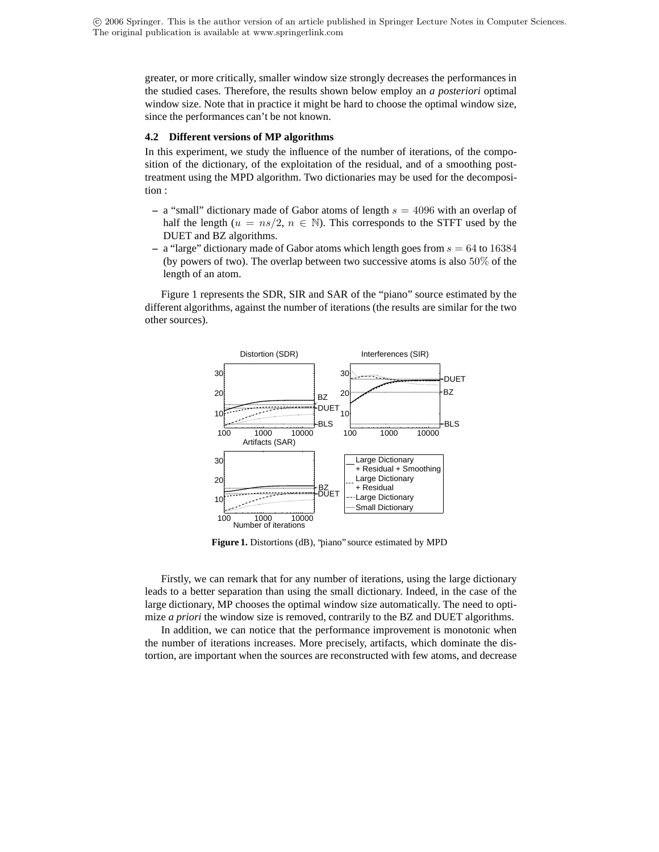greater, or more critically, smaller window size strongly decreases the performances in the studied cases. Therefore, the results shown below employ an *a posteriori* optimal window size. Note that in practice it might be hard to choose the optimal window size, since the performances can't be not known.

#### **4.2 Different versions of MP algorithms**

In this experiment, we study the influence of the number of iterations, of the composition of the dictionary, of the exploitation of the residual, and of a smoothing posttreatment using the MPD algorithm. Two dictionaries may be used for the decomposition :

- **–** a "small" dictionary made of Gabor atoms of length s = 4096 with an overlap of half the length ( $u = ns/2$ ,  $n \in \mathbb{N}$ ). This corresponds to the STFT used by the DUET and BZ algorithms.
- $-$  a "large" dictionary made of Gabor atoms which length goes from  $s = 64$  to 16384 (by powers of two). The overlap between two successive atoms is also 50% of the length of an atom.

Figure 1 represents the SDR, SIR and SAR of the "piano" source estimated by the different algorithms, against the number of iterations (the results are similar for the two other sources).



**Figure 1.** Distortions (dB), "piano" source estimated by MPD

Firstly, we can remark that for any number of iterations, using the large dictionary leads to a better separation than using the small dictionary. Indeed, in the case of the large dictionary, MP chooses the optimal window size automatically. The need to optimize *a priori* the window size is removed, contrarily to the BZ and DUET algorithms.

In addition, we can notice that the performance improvement is monotonic when the number of iterations increases. More precisely, artifacts, which dominate the distortion, are important when the sources are reconstructed with few atoms, and decrease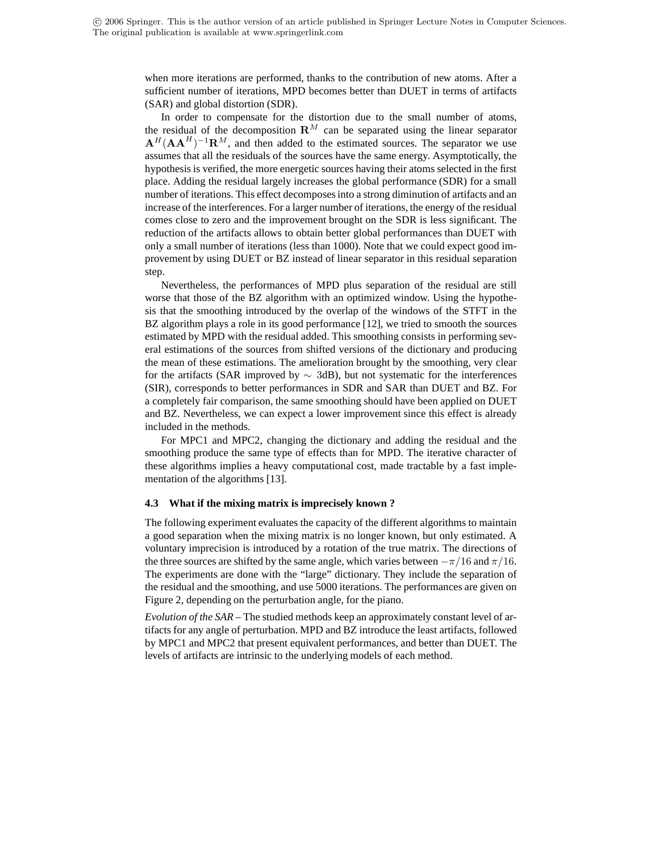when more iterations are performed, thanks to the contribution of new atoms. After a sufficient number of iterations, MPD becomes better than DUET in terms of artifacts (SAR) and global distortion (SDR).

In order to compensate for the distortion due to the small number of atoms, the residual of the decomposition  $\mathbf{R}^M$  can be separated using the linear separator  ${\bf A}^{H}({\bf A} {\bf A}^{H})^{-1}{\bf R}^{M}$ , and then added to the estimated sources. The separator we use assumes that all the residuals of the sources have the same energy. Asymptotically, the hypothesis is verified, the more energetic sources having their atoms selected in the first place. Adding the residual largely increases the global performance (SDR) for a small number of iterations. This effect decomposesinto a strong diminution of artifacts and an increase of the interferences. For a larger number of iterations, the energy of the residual comes close to zero and the improvement brought on the SDR is less significant. The reduction of the artifacts allows to obtain better global performances than DUET with only a small number of iterations (less than 1000). Note that we could expect good improvement by using DUET or BZ instead of linear separator in this residual separation step.

Nevertheless, the performances of MPD plus separation of the residual are still worse that those of the BZ algorithm with an optimized window. Using the hypothesis that the smoothing introduced by the overlap of the windows of the STFT in the BZ algorithm plays a role in its good performance [12], we tried to smooth the sources estimated by MPD with the residual added. This smoothing consists in performing several estimations of the sources from shifted versions of the dictionary and producing the mean of these estimations. The amelioration brought by the smoothing, very clear for the artifacts (SAR improved by  $\sim$  3dB), but not systematic for the interferences (SIR), corresponds to better performances in SDR and SAR than DUET and BZ. For a completely fair comparison, the same smoothing should have been applied on DUET and BZ. Nevertheless, we can expect a lower improvement since this effect is already included in the methods.

For MPC1 and MPC2, changing the dictionary and adding the residual and the smoothing produce the same type of effects than for MPD. The iterative character of these algorithms implies a heavy computational cost, made tractable by a fast implementation of the algorithms [13].

#### **4.3 What if the mixing matrix is imprecisely known ?**

The following experiment evaluates the capacity of the different algorithms to maintain a good separation when the mixing matrix is no longer known, but only estimated. A voluntary imprecision is introduced by a rotation of the true matrix. The directions of the three sources are shifted by the same angle, which varies between  $-\pi/16$  and  $\pi/16$ . The experiments are done with the "large" dictionary. They include the separation of the residual and the smoothing, and use 5000 iterations. The performances are given on Figure 2, depending on the perturbation angle, for the piano.

*Evolution of the SAR –* The studied methods keep an approximately constant level of artifacts for any angle of perturbation. MPD and BZ introduce the least artifacts, followed by MPC1 and MPC2 that present equivalent performances, and better than DUET. The levels of artifacts are intrinsic to the underlying models of each method.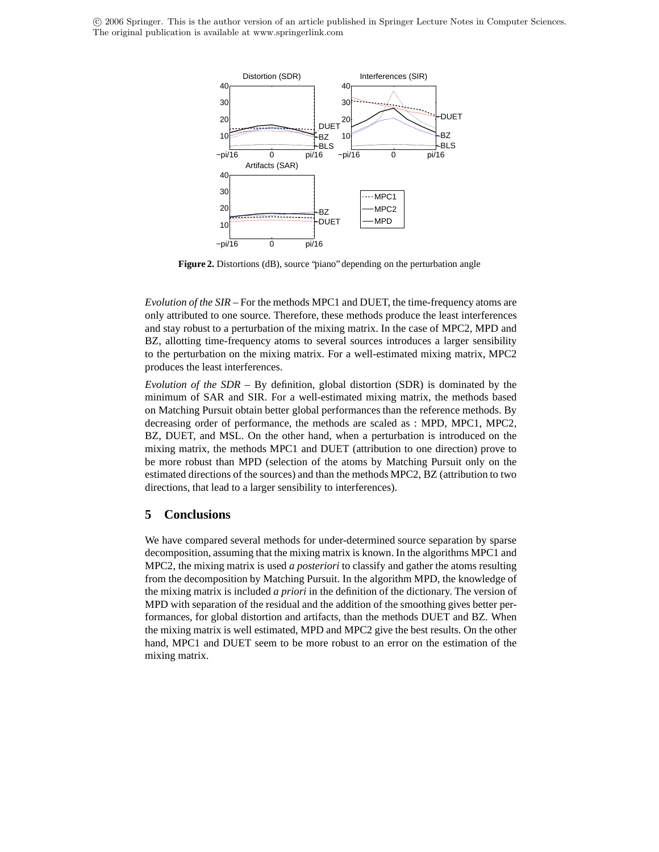c 2006 Springer. This is the author version of an article published in Springer Lecture Notes in Computer Sciences. The original publication is available at www.springerlink.com



**Figure 2.** Distortions (dB), source "piano" depending on the perturbation angle

*Evolution of the SIR –* For the methods MPC1 and DUET, the time-frequency atoms are only attributed to one source. Therefore, these methods produce the least interferences and stay robust to a perturbation of the mixing matrix. In the case of MPC2, MPD and BZ, allotting time-frequency atoms to several sources introduces a larger sensibility to the perturbation on the mixing matrix. For a well-estimated mixing matrix, MPC2 produces the least interferences.

*Evolution of the SDR –* By definition, global distortion (SDR) is dominated by the minimum of SAR and SIR. For a well-estimated mixing matrix, the methods based on Matching Pursuit obtain better global performances than the reference methods. By decreasing order of performance, the methods are scaled as : MPD, MPC1, MPC2, BZ, DUET, and MSL. On the other hand, when a perturbation is introduced on the mixing matrix, the methods MPC1 and DUET (attribution to one direction) prove to be more robust than MPD (selection of the atoms by Matching Pursuit only on the estimated directions of the sources) and than the methods MPC2, BZ (attribution to two directions, that lead to a larger sensibility to interferences).

# **5 Conclusions**

We have compared several methods for under-determined source separation by sparse decomposition, assuming that the mixing matrix is known. In the algorithms MPC1 and MPC2, the mixing matrix is used *a posteriori* to classify and gather the atoms resulting from the decomposition by Matching Pursuit. In the algorithm MPD, the knowledge of the mixing matrix is included *a priori* in the definition of the dictionary. The version of MPD with separation of the residual and the addition of the smoothing gives better performances, for global distortion and artifacts, than the methods DUET and BZ. When the mixing matrix is well estimated, MPD and MPC2 give the best results. On the other hand, MPC1 and DUET seem to be more robust to an error on the estimation of the mixing matrix.